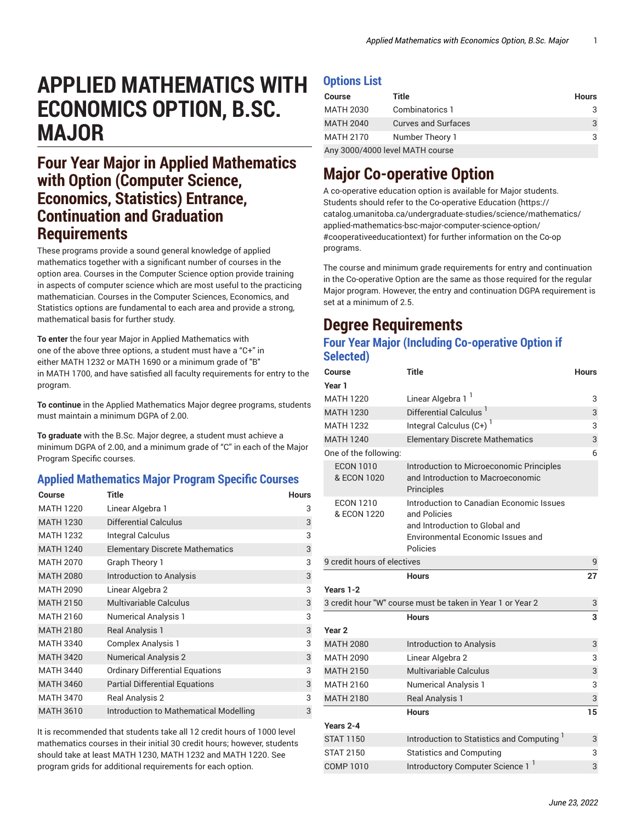# **APPLIED MATHEMATICS WITH ECONOMICS OPTION, B.SC. MAJOR**

## **Four Year Major in Applied Mathematics with Option (Computer Science, Economics, Statistics) Entrance, Continuation and Graduation Requirements**

These programs provide a sound general knowledge of applied mathematics together with a significant number of courses in the option area. Courses in the Computer Science option provide training in aspects of computer science which are most useful to the practicing mathematician. Courses in the Computer Sciences, Economics, and Statistics options are fundamental to each area and provide a strong, mathematical basis for further study.

**To enter** the four year Major in Applied Mathematics with one of the above three options, a student must have a "C+" in either MATH 1232 or MATH 1690 or a minimum grade of "B" in MATH 1700, and have satisfied all faculty requirements for entry to the program.

**To continue** in the Applied Mathematics Major degree programs, students must maintain a minimum DGPA of 2.00.

**To graduate** with the B.Sc. Major degree, a student must achieve a minimum DGPA of 2.00, and a minimum grade of "C" in each of the Major Program Specific courses.

### **Applied Mathematics Major Program Specific Courses**

| Course           | Title                                  | <b>Hours</b> |
|------------------|----------------------------------------|--------------|
| <b>MATH 1220</b> | Linear Algebra 1                       | 3            |
| <b>MATH 1230</b> | <b>Differential Calculus</b>           | 3            |
| <b>MATH 1232</b> | Integral Calculus                      | 3            |
| <b>MATH 1240</b> | <b>Elementary Discrete Mathematics</b> | 3            |
| <b>MATH 2070</b> | Graph Theory 1                         | 3            |
| <b>MATH 2080</b> | <b>Introduction to Analysis</b>        | 3            |
| <b>MATH 2090</b> | Linear Algebra 2                       | 3            |
| <b>MATH 2150</b> | <b>Multivariable Calculus</b>          | 3            |
| MATH 2160        | <b>Numerical Analysis 1</b>            | 3            |
| <b>MATH 2180</b> | <b>Real Analysis 1</b>                 | 3            |
| <b>MATH 3340</b> | <b>Complex Analysis 1</b>              | 3            |
| <b>MATH 3420</b> | <b>Numerical Analysis 2</b>            | 3            |
| <b>MATH 3440</b> | <b>Ordinary Differential Equations</b> | 3            |
| <b>MATH 3460</b> | <b>Partial Differential Equations</b>  | 3            |
| <b>MATH 3470</b> | <b>Real Analysis 2</b>                 | 3            |
| <b>MATH 3610</b> | Introduction to Mathematical Modelling | 3            |

It is recommended that students take all 12 credit hours of 1000 level mathematics courses in their initial 30 credit hours; however, students should take at least MATH 1230, MATH 1232 and MATH 1220. See program grids for additional requirements for each option.

### **Options List**

| <b>Course</b>                   | Title                      | <b>Hours</b> |
|---------------------------------|----------------------------|--------------|
| <b>MATH 2030</b>                | Combinatorics 1            |              |
| <b>MATH 2040</b>                | <b>Curves and Surfaces</b> | 3            |
| <b>MATH 2170</b>                | Number Theory 1            | 3            |
| Any 3000/4000 level MATH course |                            |              |

# **Major Co-operative Option**

A co-operative education option is available for Major students. Students should refer to the [Co-operative](https://catalog.umanitoba.ca/undergraduate-studies/science/mathematics/applied-mathematics-bsc-major-computer-science-option/#cooperativeeducationtext) Education ([https://](https://catalog.umanitoba.ca/undergraduate-studies/science/mathematics/applied-mathematics-bsc-major-computer-science-option/#cooperativeeducationtext) [catalog.umanitoba.ca/undergraduate-studies/science/mathematics/](https://catalog.umanitoba.ca/undergraduate-studies/science/mathematics/applied-mathematics-bsc-major-computer-science-option/#cooperativeeducationtext) [applied-mathematics-bsc-major-computer-science-option/](https://catalog.umanitoba.ca/undergraduate-studies/science/mathematics/applied-mathematics-bsc-major-computer-science-option/#cooperativeeducationtext) [#cooperativeeducationtext](https://catalog.umanitoba.ca/undergraduate-studies/science/mathematics/applied-mathematics-bsc-major-computer-science-option/#cooperativeeducationtext)) for further information on the Co-op programs.

The course and minimum grade requirements for entry and continuation in the Co-operative Option are the same as those required for the regular Major program. However, the entry and continuation DGPA requirement is set at a minimum of 2.5.

# **Degree Requirements**

### **Four Year Major (Including Co-operative Option if Selected)**

| Course                          | <b>Title</b>                                                                                                                                | <b>Hours</b> |
|---------------------------------|---------------------------------------------------------------------------------------------------------------------------------------------|--------------|
| Year 1                          |                                                                                                                                             |              |
| <b>MATH 1220</b>                | Linear Algebra 1 <sup>1</sup>                                                                                                               | 3            |
| <b>MATH 1230</b>                | Differential Calculus <sup>1</sup>                                                                                                          | 3            |
| <b>MATH 1232</b>                | Integral Calculus $(C+)$ <sup>1</sup>                                                                                                       | 3            |
| <b>MATH 1240</b>                | <b>Elementary Discrete Mathematics</b>                                                                                                      | 3            |
| One of the following:           |                                                                                                                                             | 6            |
| <b>ECON 1010</b><br>& ECON 1020 | Introduction to Microeconomic Principles<br>and Introduction to Macroeconomic<br>Principles                                                 |              |
| <b>ECON 1210</b><br>& ECON 1220 | Introduction to Canadian Economic Issues<br>and Policies<br>and Introduction to Global and<br>Environmental Economic Issues and<br>Policies |              |
| 9 credit hours of electives     |                                                                                                                                             | 9            |
|                                 |                                                                                                                                             |              |
|                                 | <b>Hours</b>                                                                                                                                | 27           |
|                                 |                                                                                                                                             |              |
|                                 | 3 credit hour "W" course must be taken in Year 1 or Year 2                                                                                  | 3            |
|                                 | <b>Hours</b>                                                                                                                                | 3            |
| Year <sub>2</sub>               |                                                                                                                                             |              |
| Years 1-2<br><b>MATH 2080</b>   | Introduction to Analysis                                                                                                                    | 3            |
| <b>MATH 2090</b>                | Linear Algebra 2                                                                                                                            | 3            |
| <b>MATH 2150</b>                | <b>Multivariable Calculus</b>                                                                                                               | 3            |
| <b>MATH 2160</b>                | <b>Numerical Analysis 1</b>                                                                                                                 | 3            |
| <b>MATH 2180</b>                | <b>Real Analysis 1</b>                                                                                                                      | 3            |
|                                 | <b>Hours</b>                                                                                                                                | 15           |
| Years 2-4                       |                                                                                                                                             |              |
| <b>STAT 1150</b>                | Introduction to Statistics and Computing <sup>1</sup>                                                                                       | 3            |
| <b>STAT 2150</b>                | <b>Statistics and Computing</b>                                                                                                             | 3            |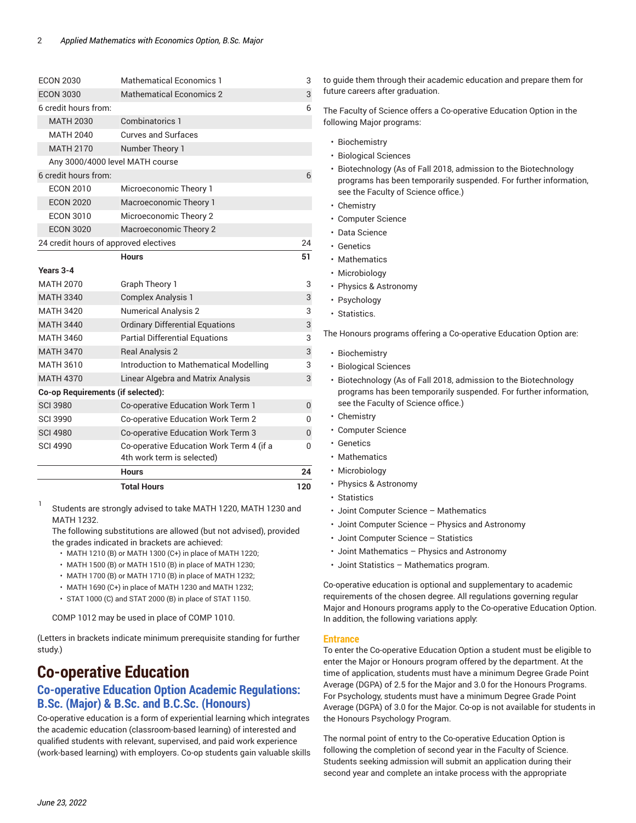|                                       | <b>Total Hours</b>                                                     | 120 |
|---------------------------------------|------------------------------------------------------------------------|-----|
|                                       | <b>Hours</b>                                                           | 24  |
| <b>SCI 4990</b>                       | Co-operative Education Work Term 4 (if a<br>4th work term is selected) | 0   |
| <b>SCI 4980</b>                       | Co-operative Education Work Term 3                                     | 0   |
| <b>SCI 3990</b>                       | Co-operative Education Work Term 2                                     | 0   |
| <b>SCI 3980</b>                       | Co-operative Education Work Term 1                                     | 0   |
| Co-op Requirements (if selected):     |                                                                        |     |
| <b>MATH 4370</b>                      | Linear Algebra and Matrix Analysis                                     | 3   |
| MATH 3610                             | Introduction to Mathematical Modelling                                 | 3   |
| <b>MATH 3470</b>                      | <b>Real Analysis 2</b>                                                 | 3   |
| MATH 3460                             | <b>Partial Differential Equations</b>                                  | 3   |
| <b>MATH 3440</b>                      | <b>Ordinary Differential Equations</b>                                 | 3   |
| <b>MATH 3420</b>                      | <b>Numerical Analysis 2</b>                                            | 3   |
| <b>MATH 3340</b>                      | <b>Complex Analysis 1</b>                                              | 3   |
| <b>MATH 2070</b>                      | Graph Theory 1                                                         | 3   |
| Years 3-4                             |                                                                        |     |
|                                       | <b>Hours</b>                                                           | 51  |
| 24 credit hours of approved electives |                                                                        | 24  |
| <b>ECON 3020</b>                      | Macroeconomic Theory 2                                                 |     |
| <b>ECON 3010</b>                      | Microeconomic Theory 2                                                 |     |
| <b>ECON 2020</b>                      | Macroeconomic Theory 1                                                 |     |
| <b>FCON 2010</b>                      | Microeconomic Theory 1                                                 |     |
| 6 credit hours from:                  |                                                                        | 6   |
| Any 3000/4000 level MATH course       |                                                                        |     |
| <b>MATH 2170</b>                      | Number Theory 1                                                        |     |
| <b>MATH 2040</b>                      | <b>Curves and Surfaces</b>                                             |     |
| <b>MATH 2030</b>                      | Combinatorics 1                                                        |     |
| 6 credit hours from:                  |                                                                        | 6   |
| <b>ECON 3030</b>                      | Mathematical Economics 2                                               | 3   |
| <b>ECON 2030</b>                      | <b>Mathematical Economics 1</b>                                        | 3   |

1 Students are strongly advised to take MATH 1220, MATH 1230 and MATH 1232.

The following substitutions are allowed (but not advised), provided the grades indicated in brackets are achieved:

- MATH 1210 (B) or MATH 1300 (C+) in place of MATH 1220;
- MATH 1500 (B) or MATH 1510 (B) in place of MATH 1230;
- MATH 1700 (B) or MATH 1710 (B) in place of MATH 1232;
- MATH 1690 (C+) in place of MATH 1230 and MATH 1232;
- STAT 1000 (C) and STAT 2000 (B) in place of STAT 1150.

COMP 1012 may be used in place of COMP 1010.

(Letters in brackets indicate minimum prerequisite standing for further study.)

# **Co-operative Education**

### **Co-operative Education Option Academic Regulations: B.Sc. (Major) & B.Sc. and B.C.Sc. (Honours)**

Co-operative education is a form of experiential learning which integrates the academic education (classroom-based learning) of interested and qualified students with relevant, supervised, and paid work experience (work-based learning) with employers. Co-op students gain valuable skills to guide them through their academic education and prepare them for future careers after graduation.

The Faculty of Science offers a Co-operative Education Option in the following Major programs:

- Biochemistry
- Biological Sciences
- Biotechnology (As of Fall 2018, admission to the Biotechnology programs has been temporarily suspended. For further information, see the Faculty of Science office.)
- Chemistry
- Computer Science
- Data Science
- Genetics
- Mathematics
- Microbiology
- Physics & Astronomy
- Psychology
- Statistics.

The Honours programs offering a Co-operative Education Option are:

- Biochemistry
- Biological Sciences
- Biotechnology (As of Fall 2018, admission to the Biotechnology programs has been temporarily suspended. For further information, see the Faculty of Science office.)
- Chemistry
- Computer Science
- Genetics
- Mathematics
- Microbiology
- Physics & Astronomy
- Statistics
- Joint Computer Science Mathematics
- Joint Computer Science Physics and Astronomy
- Joint Computer Science Statistics
- Joint Mathematics Physics and Astronomy
- Joint Statistics Mathematics program.

Co-operative education is optional and supplementary to academic requirements of the chosen degree. All regulations governing regular Major and Honours programs apply to the Co-operative Education Option. In addition, the following variations apply:

#### **Entrance**

To enter the Co-operative Education Option a student must be eligible to enter the Major or Honours program offered by the department. At the time of application, students must have a minimum Degree Grade Point Average (DGPA) of 2.5 for the Major and 3.0 for the Honours Programs. For Psychology, students must have a minimum Degree Grade Point Average (DGPA) of 3.0 for the Major. Co-op is not available for students in the Honours Psychology Program.

The normal point of entry to the Co-operative Education Option is following the completion of second year in the Faculty of Science. Students seeking admission will submit an application during their second year and complete an intake process with the appropriate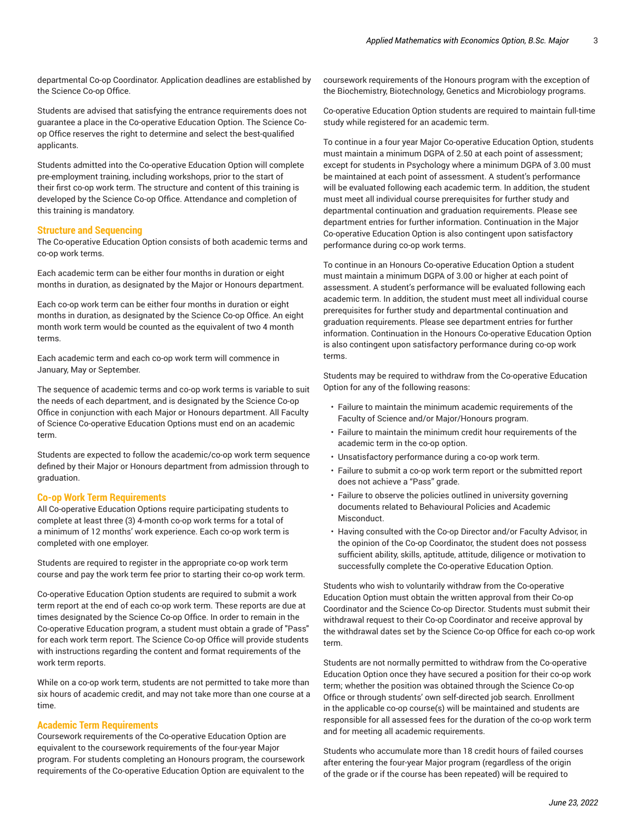departmental Co-op Coordinator. Application deadlines are established by the Science Co-op Office.

Students are advised that satisfying the entrance requirements does not guarantee a place in the Co-operative Education Option. The Science Coop Office reserves the right to determine and select the best-qualified applicants.

Students admitted into the Co-operative Education Option will complete pre-employment training, including workshops, prior to the start of their first co-op work term. The structure and content of this training is developed by the Science Co-op Office. Attendance and completion of this training is mandatory.

#### **Structure and Sequencing**

The Co-operative Education Option consists of both academic terms and co-op work terms.

Each academic term can be either four months in duration or eight months in duration, as designated by the Major or Honours department.

Each co-op work term can be either four months in duration or eight months in duration, as designated by the Science Co-op Office. An eight month work term would be counted as the equivalent of two 4 month terms.

Each academic term and each co-op work term will commence in January, May or September.

The sequence of academic terms and co-op work terms is variable to suit the needs of each department, and is designated by the Science Co-op Office in conjunction with each Major or Honours department. All Faculty of Science Co-operative Education Options must end on an academic term.

Students are expected to follow the academic/co-op work term sequence defined by their Major or Honours department from admission through to graduation.

#### **Co-op Work Term Requirements**

All Co-operative Education Options require participating students to complete at least three (3) 4-month co-op work terms for a total of a minimum of 12 months' work experience. Each co-op work term is completed with one employer.

Students are required to register in the appropriate co-op work term course and pay the work term fee prior to starting their co-op work term.

Co-operative Education Option students are required to submit a work term report at the end of each co-op work term. These reports are due at times designated by the Science Co-op Office. In order to remain in the Co-operative Education program, a student must obtain a grade of "Pass" for each work term report. The Science Co-op Office will provide students with instructions regarding the content and format requirements of the work term reports.

While on a co-op work term, students are not permitted to take more than six hours of academic credit, and may not take more than one course at a time.

#### **Academic Term Requirements**

Coursework requirements of the Co-operative Education Option are equivalent to the coursework requirements of the four-year Major program. For students completing an Honours program, the coursework requirements of the Co-operative Education Option are equivalent to the coursework requirements of the Honours program with the exception of the Biochemistry, Biotechnology, Genetics and Microbiology programs.

Co-operative Education Option students are required to maintain full-time study while registered for an academic term.

To continue in a four year Major Co-operative Education Option, students must maintain a minimum DGPA of 2.50 at each point of assessment; except for students in Psychology where a minimum DGPA of 3.00 must be maintained at each point of assessment. A student's performance will be evaluated following each academic term. In addition, the student must meet all individual course prerequisites for further study and departmental continuation and graduation requirements. Please see department entries for further information. Continuation in the Major Co-operative Education Option is also contingent upon satisfactory performance during co-op work terms.

To continue in an Honours Co-operative Education Option a student must maintain a minimum DGPA of 3.00 or higher at each point of assessment. A student's performance will be evaluated following each academic term. In addition, the student must meet all individual course prerequisites for further study and departmental continuation and graduation requirements. Please see department entries for further information. Continuation in the Honours Co-operative Education Option is also contingent upon satisfactory performance during co-op work terms.

Students may be required to withdraw from the Co-operative Education Option for any of the following reasons:

- Failure to maintain the minimum academic requirements of the Faculty of Science and/or Major/Honours program.
- Failure to maintain the minimum credit hour requirements of the academic term in the co-op option.
- Unsatisfactory performance during a co-op work term.
- Failure to submit a co-op work term report or the submitted report does not achieve a "Pass" grade.
- Failure to observe the policies outlined in university governing documents related to Behavioural Policies and Academic Misconduct.
- Having consulted with the Co-op Director and/or Faculty Advisor, in the opinion of the Co-op Coordinator, the student does not possess sufficient ability, skills, aptitude, attitude, diligence or motivation to successfully complete the Co-operative Education Option.

Students who wish to voluntarily withdraw from the Co-operative Education Option must obtain the written approval from their Co-op Coordinator and the Science Co-op Director. Students must submit their withdrawal request to their Co-op Coordinator and receive approval by the withdrawal dates set by the Science Co-op Office for each co-op work term.

Students are not normally permitted to withdraw from the Co-operative Education Option once they have secured a position for their co-op work term; whether the position was obtained through the Science Co-op Office or through students' own self-directed job search. Enrollment in the applicable co-op course(s) will be maintained and students are responsible for all assessed fees for the duration of the co-op work term and for meeting all academic requirements.

Students who accumulate more than 18 credit hours of failed courses after entering the four-year Major program (regardless of the origin of the grade or if the course has been repeated) will be required to